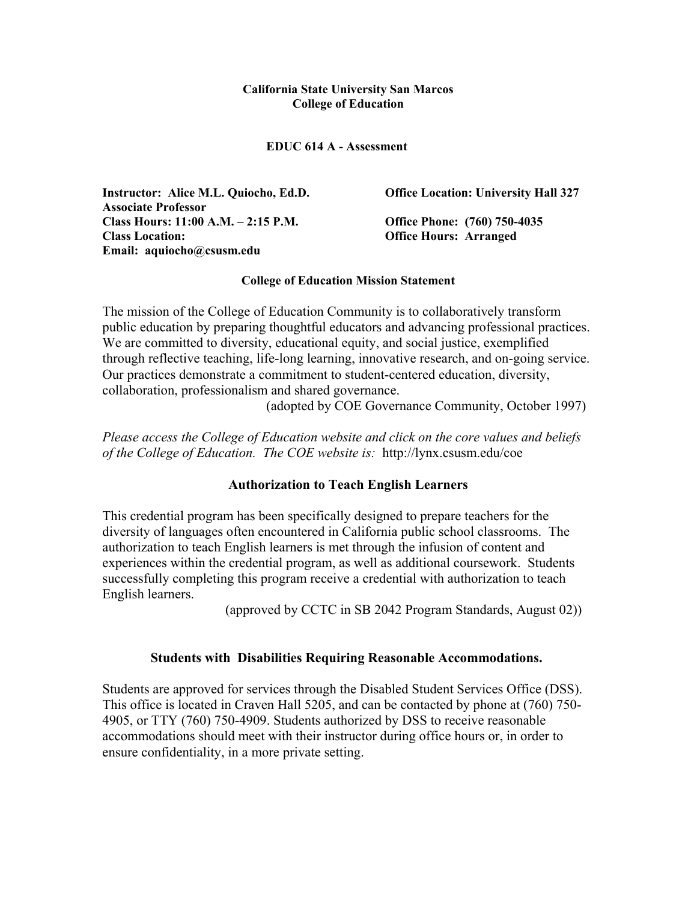#### **California State University San Marcos College of Education**

**EDUC 614 A - Assessment** 

**Instructor: Alice M.L. Quiocho, Ed.D. Associate Professor Class Hours: 11:00 A.M. – 2:15 P.M. Office Phone: (760) 750-4035 Class Location: Office Hours: Arranged Email: aquiocho@csusm.edu** 

**Office Location: University Hall 327** 

#### **College of Education Mission Statement**

The mission of the College of Education Community is to collaboratively transform public education by preparing thoughtful educators and advancing professional practices. We are committed to diversity, educational equity, and social justice, exemplified through reflective teaching, life-long learning, innovative research, and on-going service. Our practices demonstrate a commitment to student-centered education, diversity, collaboration, professionalism and shared governance.

(adopted by COE Governance Community, October 1997)

*Please access the College of Education website and click on the core values and beliefs of the College of Education. The COE website is:* http://lynx.csusm.edu/coe

#### **Authorization to Teach English Learners**

This credential program has been specifically designed to prepare teachers for the diversity of languages often encountered in California public school classrooms. The authorization to teach English learners is met through the infusion of content and experiences within the credential program, as well as additional coursework. Students successfully completing this program receive a credential with authorization to teach English learners.

(approved by CCTC in SB 2042 Program Standards, August 02))

## **Students with Disabilities Requiring Reasonable Accommodations.**

Students are approved for services through the Disabled Student Services Office (DSS). This office is located in Craven Hall 5205, and can be contacted by phone at (760) 750- 4905, or TTY (760) 750-4909. Students authorized by DSS to receive reasonable accommodations should meet with their instructor during office hours or, in order to ensure confidentiality, in a more private setting.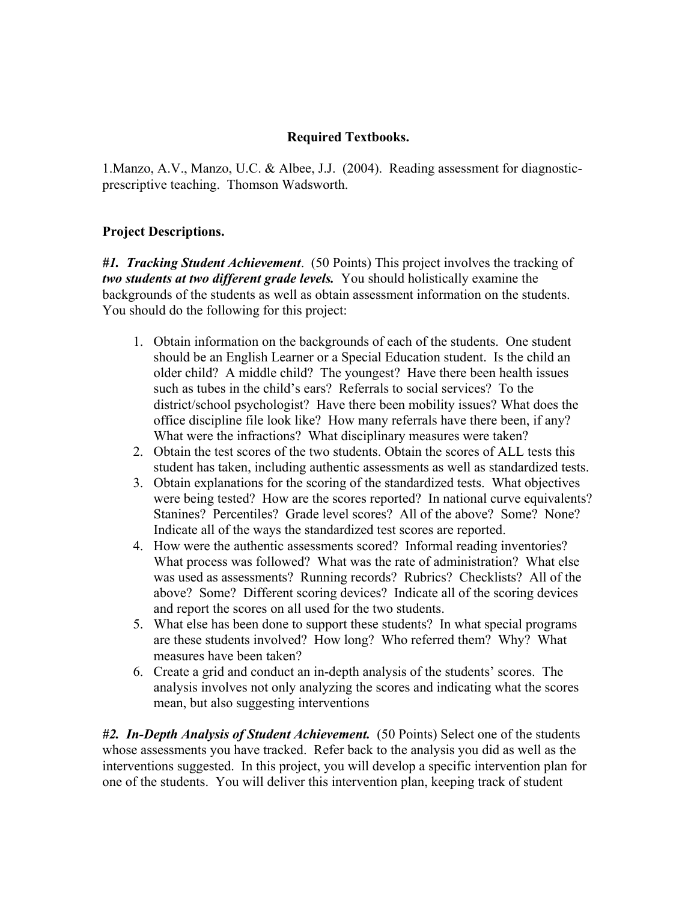### **Required Textbooks.**

1.Manzo, A.V., Manzo, U.C. & Albee, J.J. (2004). Reading assessment for diagnosticprescriptive teaching. Thomson Wadsworth.

### **Project Descriptions.**

*#1. Tracking Student Achievement*. (50 Points) This project involves the tracking of *two students at two different grade levels.* You should holistically examine the backgrounds of the students as well as obtain assessment information on the students. You should do the following for this project:

- 1. Obtain information on the backgrounds of each of the students. One student should be an English Learner or a Special Education student. Is the child an older child? A middle child? The youngest? Have there been health issues such as tubes in the child's ears? Referrals to social services? To the district/school psychologist? Have there been mobility issues? What does the office discipline file look like? How many referrals have there been, if any? What were the infractions? What disciplinary measures were taken?
- 2. Obtain the test scores of the two students. Obtain the scores of ALL tests this student has taken, including authentic assessments as well as standardized tests.
- 3. Obtain explanations for the scoring of the standardized tests. What objectives were being tested? How are the scores reported? In national curve equivalents? Stanines? Percentiles? Grade level scores? All of the above? Some? None? Indicate all of the ways the standardized test scores are reported.
- 4. How were the authentic assessments scored? Informal reading inventories? What process was followed? What was the rate of administration? What else was used as assessments? Running records? Rubrics? Checklists? All of the above? Some? Different scoring devices? Indicate all of the scoring devices and report the scores on all used for the two students.
- 5. What else has been done to support these students? In what special programs are these students involved? How long? Who referred them? Why? What measures have been taken?
- 6. Create a grid and conduct an in-depth analysis of the students' scores. The analysis involves not only analyzing the scores and indicating what the scores mean, but also suggesting interventions

*#2. In-Depth Analysis of Student Achievement.* (50 Points) Select one of the students whose assessments you have tracked. Refer back to the analysis you did as well as the interventions suggested. In this project, you will develop a specific intervention plan for one of the students. You will deliver this intervention plan, keeping track of student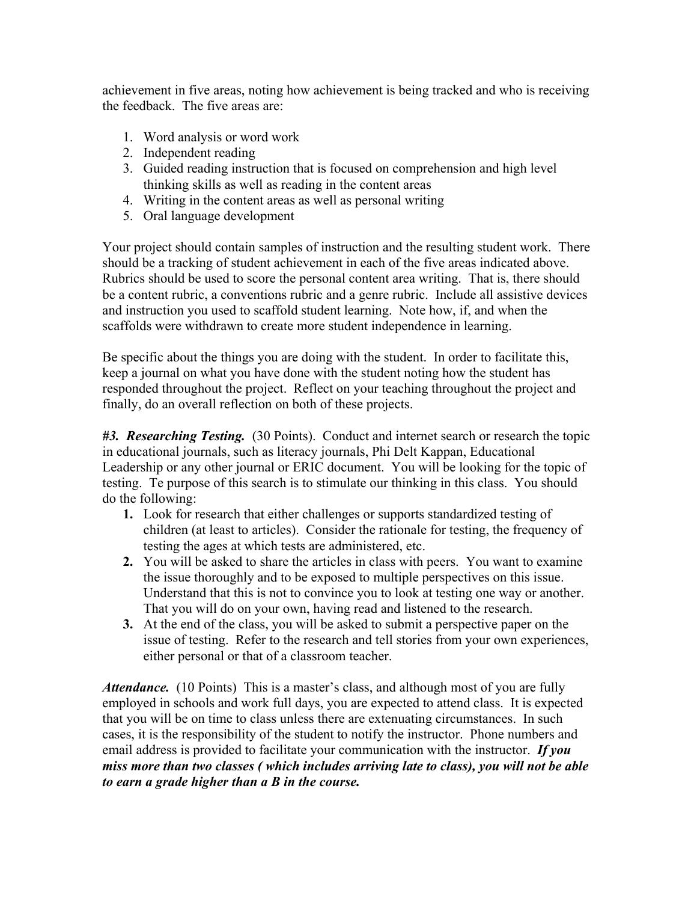achievement in five areas, noting how achievement is being tracked and who is receiving the feedback. The five areas are:

- 1. Word analysis or word work
- 2. Independent reading
- 3. Guided reading instruction that is focused on comprehension and high level thinking skills as well as reading in the content areas
- 4. Writing in the content areas as well as personal writing
- 5. Oral language development

Your project should contain samples of instruction and the resulting student work. There should be a tracking of student achievement in each of the five areas indicated above. Rubrics should be used to score the personal content area writing. That is, there should be a content rubric, a conventions rubric and a genre rubric. Include all assistive devices and instruction you used to scaffold student learning. Note how, if, and when the scaffolds were withdrawn to create more student independence in learning.

Be specific about the things you are doing with the student. In order to facilitate this, keep a journal on what you have done with the student noting how the student has responded throughout the project. Reflect on your teaching throughout the project and finally, do an overall reflection on both of these projects.

*#3. Researching Testing.* (30 Points). Conduct and internet search or research the topic in educational journals, such as literacy journals, Phi Delt Kappan, Educational Leadership or any other journal or ERIC document. You will be looking for the topic of testing. Te purpose of this search is to stimulate our thinking in this class. You should do the following:

- **1.** Look for research that either challenges or supports standardized testing of children (at least to articles). Consider the rationale for testing, the frequency of testing the ages at which tests are administered, etc.
- **2.** You will be asked to share the articles in class with peers. You want to examine the issue thoroughly and to be exposed to multiple perspectives on this issue. Understand that this is not to convince you to look at testing one way or another. That you will do on your own, having read and listened to the research.
- **3.** At the end of the class, you will be asked to submit a perspective paper on the issue of testing. Refer to the research and tell stories from your own experiences, either personal or that of a classroom teacher.

*Attendance.* (10 Points) This is a master's class, and although most of you are fully employed in schools and work full days, you are expected to attend class. It is expected that you will be on time to class unless there are extenuating circumstances. In such cases, it is the responsibility of the student to notify the instructor. Phone numbers and email address is provided to facilitate your communication with the instructor. *If you miss more than two classes ( which includes arriving late to class), you will not be able to earn a grade higher than a B in the course.*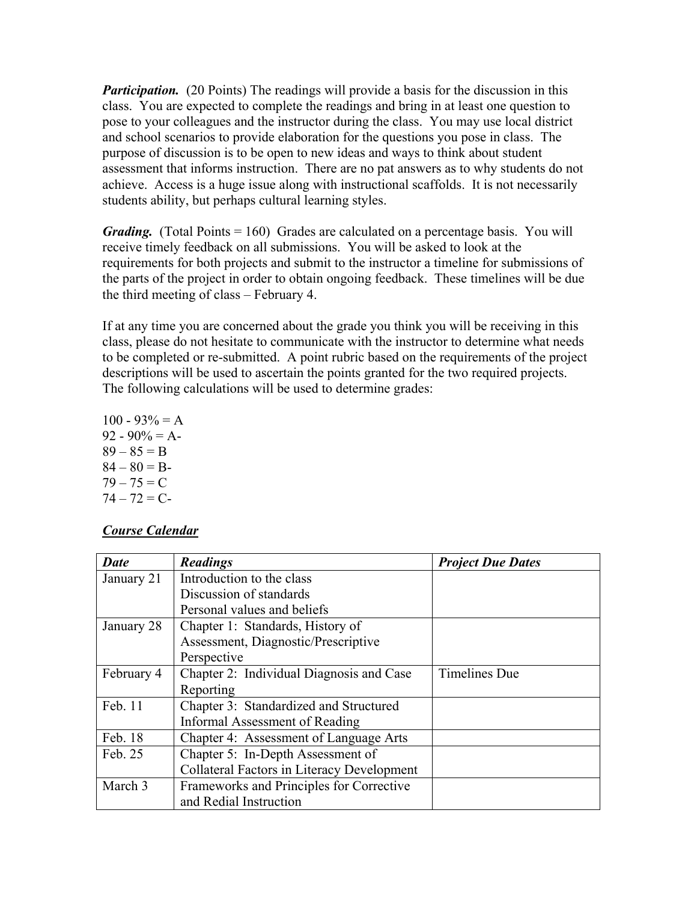*Participation.* (20 Points) The readings will provide a basis for the discussion in this class. You are expected to complete the readings and bring in at least one question to pose to your colleagues and the instructor during the class. You may use local district and school scenarios to provide elaboration for the questions you pose in class. The purpose of discussion is to be open to new ideas and ways to think about student assessment that informs instruction. There are no pat answers as to why students do not achieve. Access is a huge issue along with instructional scaffolds. It is not necessarily students ability, but perhaps cultural learning styles.

*Grading.* (Total Points = 160) Grades are calculated on a percentage basis. You will receive timely feedback on all submissions. You will be asked to look at the requirements for both projects and submit to the instructor a timeline for submissions of the parts of the project in order to obtain ongoing feedback. These timelines will be due the third meeting of class – February 4.

If at any time you are concerned about the grade you think you will be receiving in this class, please do not hesitate to communicate with the instructor to determine what needs to be completed or re-submitted. A point rubric based on the requirements of the project descriptions will be used to ascertain the points granted for the two required projects. The following calculations will be used to determine grades:

 $100 - 93\% = A$  $92 - 90\% = A$  $89 - 85 = B$  $84 - 80 = B$  $79 - 75 = C$  $74 - 72 = C$ 

## *Course Calendar*

| <b>Date</b> | <b>Readings</b>                                   | <b>Project Due Dates</b> |
|-------------|---------------------------------------------------|--------------------------|
| January 21  | Introduction to the class                         |                          |
|             | Discussion of standards                           |                          |
|             | Personal values and beliefs                       |                          |
| January 28  | Chapter 1: Standards, History of                  |                          |
|             | Assessment, Diagnostic/Prescriptive               |                          |
|             | Perspective                                       |                          |
| February 4  | Chapter 2: Individual Diagnosis and Case          | <b>Timelines Due</b>     |
|             | Reporting                                         |                          |
| Feb. 11     | Chapter 3: Standardized and Structured            |                          |
|             | Informal Assessment of Reading                    |                          |
| Feb. 18     | Chapter 4: Assessment of Language Arts            |                          |
| Feb. 25     | Chapter 5: In-Depth Assessment of                 |                          |
|             | <b>Collateral Factors in Literacy Development</b> |                          |
| March 3     | Frameworks and Principles for Corrective          |                          |
|             | and Redial Instruction                            |                          |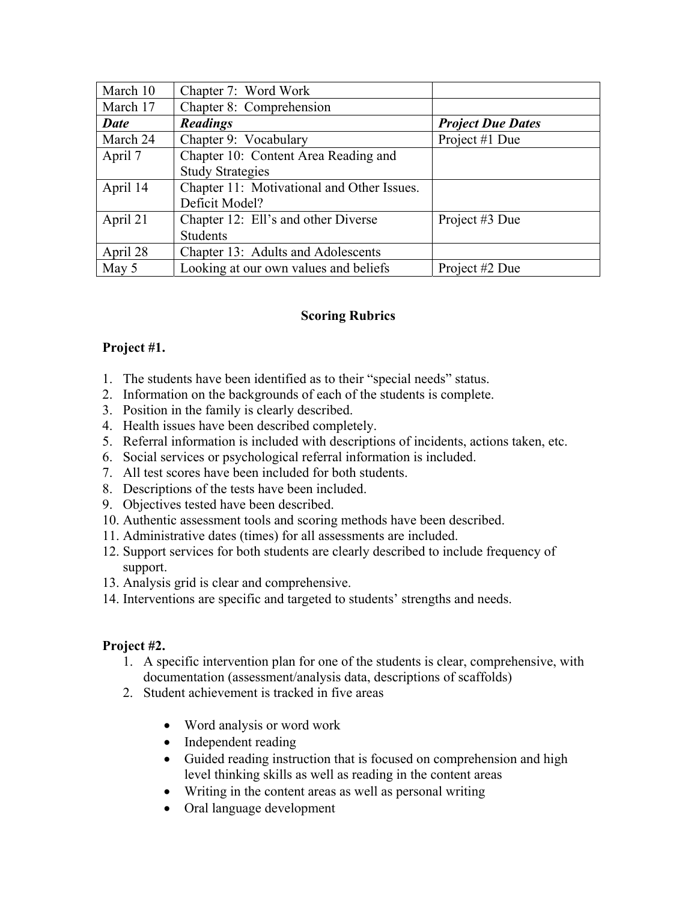| March 10    | Chapter 7: Word Work                       |                          |
|-------------|--------------------------------------------|--------------------------|
| March 17    | Chapter 8: Comprehension                   |                          |
| <b>Date</b> | <b>Readings</b>                            | <b>Project Due Dates</b> |
| March 24    | Chapter 9: Vocabulary                      | Project #1 Due           |
| April 7     | Chapter 10: Content Area Reading and       |                          |
|             | <b>Study Strategies</b>                    |                          |
| April 14    | Chapter 11: Motivational and Other Issues. |                          |
|             | Deficit Model?                             |                          |
| April 21    | Chapter 12: Ell's and other Diverse        | Project #3 Due           |
|             | <b>Students</b>                            |                          |
| April 28    | Chapter 13: Adults and Adolescents         |                          |
| May 5       | Looking at our own values and beliefs      | Project #2 Due           |

# **Scoring Rubrics**

# **Project #1.**

- 1. The students have been identified as to their "special needs" status.
- 2. Information on the backgrounds of each of the students is complete.
- 3. Position in the family is clearly described.
- 4. Health issues have been described completely.
- 5. Referral information is included with descriptions of incidents, actions taken, etc.
- 6. Social services or psychological referral information is included.
- 7. All test scores have been included for both students.
- 8. Descriptions of the tests have been included.
- 9. Objectives tested have been described.
- 10. Authentic assessment tools and scoring methods have been described.
- 11. Administrative dates (times) for all assessments are included.
- 12. Support services for both students are clearly described to include frequency of support.
- 13. Analysis grid is clear and comprehensive.
- 14. Interventions are specific and targeted to students' strengths and needs.

# **Project #2.**

- 1. A specific intervention plan for one of the students is clear, comprehensive, with documentation (assessment/analysis data, descriptions of scaffolds)
- 2. Student achievement is tracked in five areas
	- Word analysis or word work
	- Independent reading
	- Guided reading instruction that is focused on comprehension and high level thinking skills as well as reading in the content areas
	- Writing in the content areas as well as personal writing
	- Oral language development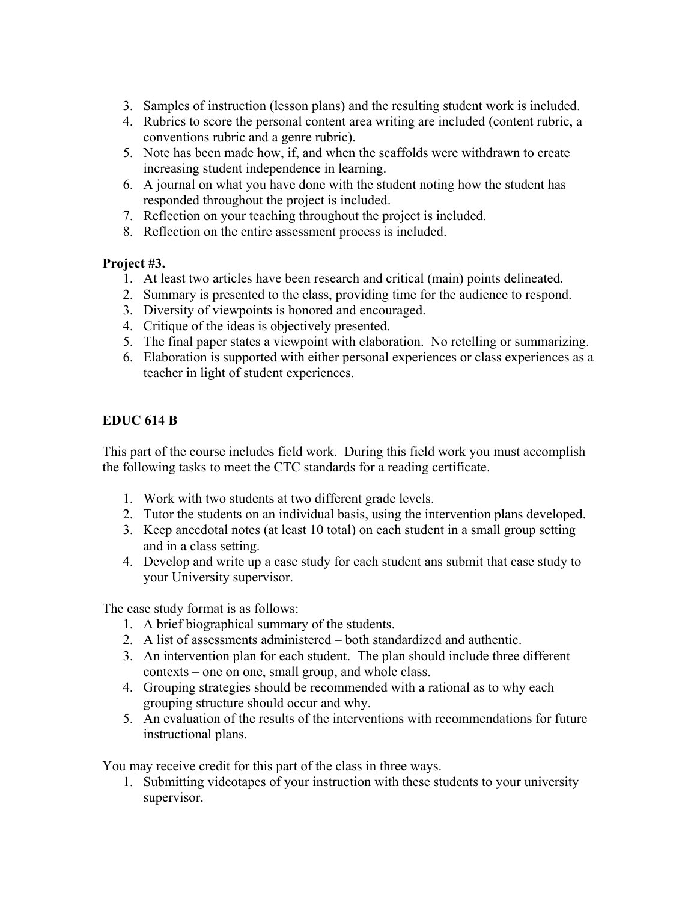- 3. Samples of instruction (lesson plans) and the resulting student work is included.
- 4. Rubrics to score the personal content area writing are included (content rubric, a conventions rubric and a genre rubric).
- 5. Note has been made how, if, and when the scaffolds were withdrawn to create increasing student independence in learning.
- 6. A journal on what you have done with the student noting how the student has responded throughout the project is included.
- 7. Reflection on your teaching throughout the project is included.
- 8. Reflection on the entire assessment process is included.

## **Project #3.**

- 1. At least two articles have been research and critical (main) points delineated.
- 2. Summary is presented to the class, providing time for the audience to respond.
- 3. Diversity of viewpoints is honored and encouraged.
- 4. Critique of the ideas is objectively presented.
- 5. The final paper states a viewpoint with elaboration. No retelling or summarizing.
- 6. Elaboration is supported with either personal experiences or class experiences as a teacher in light of student experiences.

## **EDUC 614 B**

This part of the course includes field work. During this field work you must accomplish the following tasks to meet the CTC standards for a reading certificate.

- 1. Work with two students at two different grade levels.
- 2. Tutor the students on an individual basis, using the intervention plans developed.
- 3. Keep anecdotal notes (at least 10 total) on each student in a small group setting and in a class setting.
- 4. Develop and write up a case study for each student ans submit that case study to your University supervisor.

The case study format is as follows:

- 1. A brief biographical summary of the students.
- 2. A list of assessments administered both standardized and authentic.
- 3. An intervention plan for each student. The plan should include three different contexts – one on one, small group, and whole class.
- 4. Grouping strategies should be recommended with a rational as to why each grouping structure should occur and why.
- 5. An evaluation of the results of the interventions with recommendations for future instructional plans.

You may receive credit for this part of the class in three ways.

1. Submitting videotapes of your instruction with these students to your university supervisor.